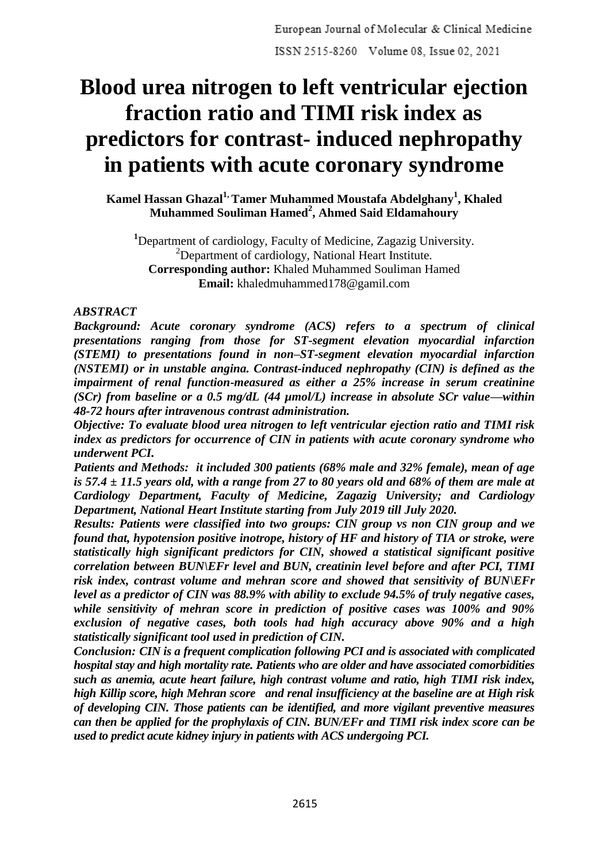# **Blood urea nitrogen to left ventricular ejection fraction ratio and TIMI risk index as predictors for contrast- induced nephropathy in patients with acute coronary syndrome**

**Kamel Hassan Ghazal1, Tamer Muhammed Moustafa Abdelghany<sup>1</sup> , Khaled Muhammed Souliman Hamed<sup>2</sup> , Ahmed Said Eldamahoury**

**<sup>1</sup>**Department of cardiology, Faculty of Medicine, Zagazig University. <sup>2</sup>Department of cardiology, National Heart Institute. **Corresponding author:** Khaled Muhammed Souliman Hamed **Email:** khaledmuhammed178@gamil.com

### *ABSTRACT*

*Background: Acute coronary syndrome (ACS) refers to a spectrum of clinical presentations ranging from those for ST-segment elevation myocardial infarction (STEMI) to presentations found in non–ST-segment elevation myocardial infarction (NSTEMI) or in unstable angina. Contrast-induced nephropathy (CIN) is defined as the impairment of renal function-measured as either a 25% increase in serum creatinine (SCr) from baseline or a 0.5 mg/dL (44 µmol/L) increase in absolute SCr value—within 48-72 hours after intravenous contrast administration.*

*Objective: To evaluate blood urea nitrogen to left ventricular ejection ratio and TIMI risk index as predictors for occurrence of CIN in patients with acute coronary syndrome who underwent PCI.*

*Patients and Methods: it included 300 patients (68% male and 32% female), mean of age is 57.4 ± 11.5 years old, with a range from 27 to 80 years old and 68% of them are male at Cardiology Department, Faculty of Medicine, Zagazig University; and Cardiology Department, National Heart Institute starting from July 2019 till July 2020.* 

*Results: Patients were classified into two groups: CIN group vs non CIN group and we found that, hypotension positive inotrope, history of HF and history of TIA or stroke, were statistically high significant predictors for CIN, showed a statistical significant positive correlation between BUN\EFr level and BUN, creatinin level before and after PCI, TIMI risk index, contrast volume and mehran score and showed that sensitivity of BUN\EFr level as a predictor of CIN was 88.9% with ability to exclude 94.5% of truly negative cases, while sensitivity of mehran score in prediction of positive cases was 100% and 90% exclusion of negative cases, both tools had high accuracy above 90% and a high statistically significant tool used in prediction of CIN.* 

*Conclusion: CIN is a frequent complication following PCI and is associated with complicated hospital stay and high mortality rate. Patients who are older and have associated comorbidities such as anemia, acute heart failure, high contrast volume and ratio, high TIMI risk index, high Killip score, high Mehran score and renal insufficiency at the baseline are at High risk of developing CIN. Those patients can be identified, and more vigilant preventive measures can then be applied for the prophylaxis of CIN. BUN/EFr and TIMI risk index score can be used to predict acute kidney injury in patients with ACS undergoing PCI.*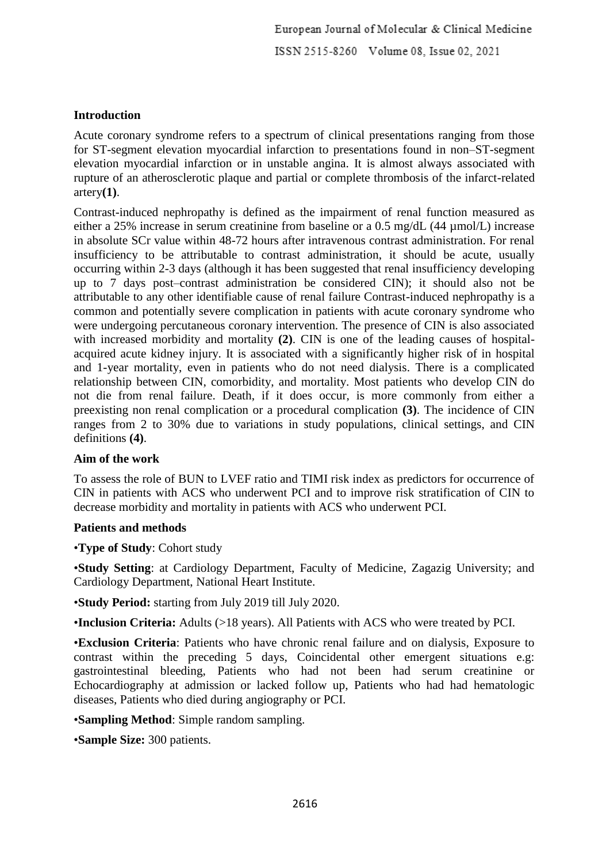European Journal of Molecular & Clinical Medicine ISSN 2515-8260 Volume 08, Issue 02, 2021

# **Introduction**

Acute coronary syndrome refers to a spectrum of clinical presentations ranging from those for ST-segment elevation myocardial infarction to presentations found in non–ST-segment elevation myocardial infarction or in unstable angina. It is almost always associated with rupture of an atherosclerotic plaque and partial or complete thrombosis of the infarct-related artery**(1)**.

Contrast-induced nephropathy is defined as the impairment of renal function measured as either a 25% increase in serum creatinine from baseline or a 0.5 mg/dL (44 µmol/L) increase in absolute SCr value within 48-72 hours after intravenous contrast administration. For renal insufficiency to be attributable to contrast administration, it should be acute, usually occurring within 2-3 days (although it has been suggested that renal insufficiency developing up to 7 days post–contrast administration be considered CIN); it should also not be attributable to any other identifiable cause of renal failure Contrast-induced nephropathy is a common and potentially severe complication in patients with acute coronary syndrome who were undergoing percutaneous coronary intervention. The presence of CIN is also associated with increased morbidity and mortality **(2)**. CIN is one of the leading causes of hospitalacquired acute kidney injury. It is associated with a significantly higher risk of in hospital and 1-year mortality, even in patients who do not need dialysis. There is a complicated relationship between CIN, comorbidity, and mortality. Most patients who develop CIN do not die from renal failure. Death, if it does occur, is more commonly from either a preexisting non renal complication or a procedural complication **(3)**. The incidence of CIN ranges from 2 to 30% due to variations in study populations, clinical settings, and CIN definitions **(4)**.

#### **Aim of the work**

To assess the role of BUN to LVEF ratio and TIMI risk index as predictors for occurrence of CIN in patients with ACS who underwent PCI and to improve risk stratification of CIN to decrease morbidity and mortality in patients with ACS who underwent PCI.

#### **Patients and methods**

•**Type of Study**: Cohort study

•**Study Setting**: at Cardiology Department, Faculty of Medicine, Zagazig University; and Cardiology Department, National Heart Institute.

•**Study Period:** starting from July 2019 till July 2020.

•**Inclusion Criteria:** Adults (>18 years). All Patients with ACS who were treated by PCI.

•**Exclusion Criteria**: Patients who have chronic renal failure and on dialysis, Exposure to contrast within the preceding 5 days, Coincidental other emergent situations e.g: gastrointestinal bleeding, Patients who had not been had serum creatinine or Echocardiography at admission or lacked follow up, Patients who had had hematologic diseases, Patients who died during angiography or PCI.

•**Sampling Method**: Simple random sampling.

•**Sample Size:** 300 patients.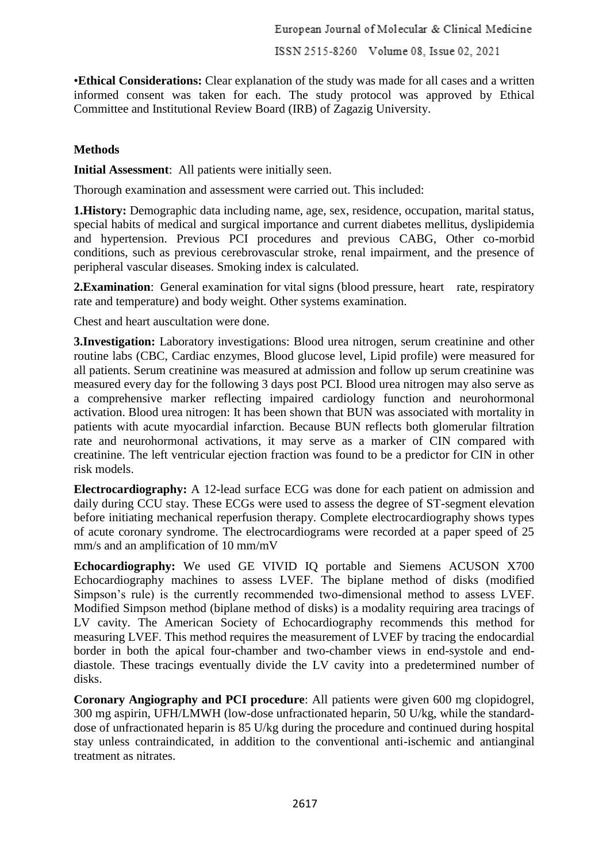European Journal of Molecular & Clinical Medicine

ISSN 2515-8260 Volume 08, Issue 02, 2021

•**Ethical Considerations:** Clear explanation of the study was made for all cases and a written informed consent was taken for each. The study protocol was approved by Ethical Committee and Institutional Review Board (IRB) of Zagazig University.

# **Methods**

**Initial Assessment**: All patients were initially seen.

Thorough examination and assessment were carried out. This included:

**1.History:** Demographic data including name, age, sex, residence, occupation, marital status, special habits of medical and surgical importance and current diabetes mellitus, dyslipidemia and hypertension. Previous PCI procedures and previous CABG, Other co-morbid conditions, such as previous cerebrovascular stroke, renal impairment, and the presence of peripheral vascular diseases. Smoking index is calculated.

**2. Examination:** General examination for vital signs (blood pressure, heart rate, respiratory rate and temperature) and body weight. Other systems examination.

Chest and heart auscultation were done.

**3.Investigation:** Laboratory investigations: Blood urea nitrogen, serum creatinine and other routine labs (CBC, Cardiac enzymes, Blood glucose level, Lipid profile) were measured for all patients. Serum creatinine was measured at admission and follow up serum creatinine was measured every day for the following 3 days post PCI. Blood urea nitrogen may also serve as a comprehensive marker reflecting impaired cardiology function and neurohormonal activation. Blood urea nitrogen: It has been shown that BUN was associated with mortality in patients with acute myocardial infarction. Because BUN reflects both glomerular filtration rate and neurohormonal activations, it may serve as a marker of CIN compared with creatinine. The left ventricular ejection fraction was found to be a predictor for CIN in other risk models.

**Electrocardiography:** A 12-lead surface ECG was done for each patient on admission and daily during CCU stay. These ECGs were used to assess the degree of ST-segment elevation before initiating mechanical reperfusion therapy. Complete electrocardiography shows types of acute coronary syndrome. The electrocardiograms were recorded at a paper speed of 25 mm/s and an amplification of 10 mm/mV

**Echocardiography:** We used GE VIVID IQ portable and Siemens ACUSON X700 Echocardiography machines to assess LVEF. The biplane method of disks (modified Simpson's rule) is the currently recommended two-dimensional method to assess LVEF. Modified Simpson method (biplane method of disks) is a modality requiring area tracings of LV cavity. The American Society of Echocardiography recommends this method for measuring LVEF. This method requires the measurement of LVEF by tracing the endocardial border in both the apical four-chamber and two-chamber views in end-systole and enddiastole. These tracings eventually divide the LV cavity into a predetermined number of disks.

**Coronary Angiography and PCI procedure**: All patients were given 600 mg clopidogrel, 300 mg aspirin, UFH/LMWH (low-dose unfractionated heparin, 50 U/kg, while the standarddose of unfractionated heparin is 85 U/kg during the procedure and continued during hospital stay unless contraindicated, in addition to the conventional anti-ischemic and antianginal treatment as nitrates.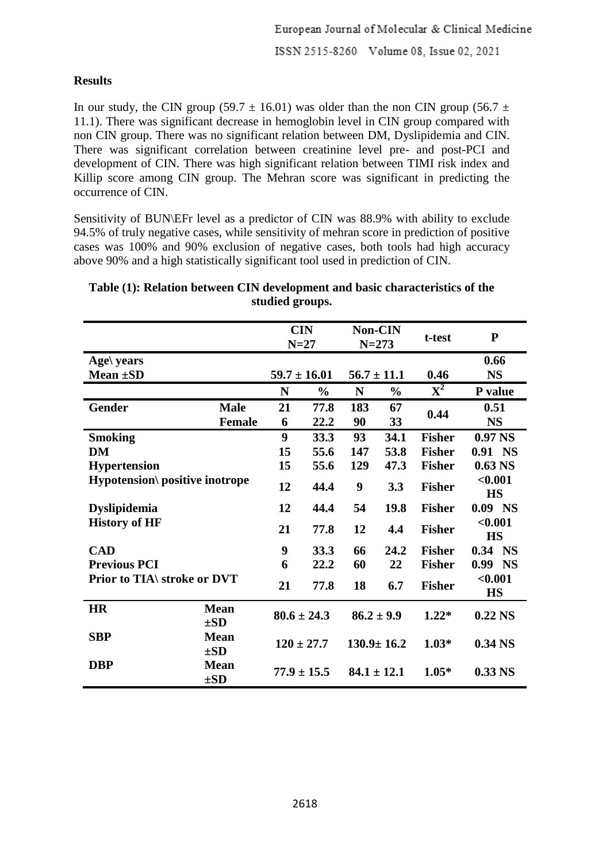# **Results**

In our study, the CIN group (59.7  $\pm$  16.01) was older than the non CIN group (56.7  $\pm$ 11.1). There was significant decrease in hemoglobin level in CIN group compared with non CIN group. There was no significant relation between DM, Dyslipidemia and CIN. There was significant correlation between creatinine level pre- and post-PCI and development of CIN. There was high significant relation between TIMI risk index and Killip score among CIN group. The Mehran score was significant in predicting the occurrence of CIN.

Sensitivity of BUN\EFr level as a predictor of CIN was 88.9% with ability to exclude 94.5% of truly negative cases, while sensitivity of mehran score in prediction of positive cases was 100% and 90% exclusion of negative cases, both tools had high accuracy above 90% and a high statistically significant tool used in prediction of CIN.

|                                       |                         | <b>CIN</b><br>$N=27$ |               |     | <b>Non-CIN</b><br>$N = 273$ | t-test         | ${\bf P}$            |
|---------------------------------------|-------------------------|----------------------|---------------|-----|-----------------------------|----------------|----------------------|
| Age $\gamma$ years                    |                         |                      |               |     |                             |                | 0.66                 |
| Mean $\pm SD$                         |                         | $59.7 \pm 16.01$     |               |     | $56.7 \pm 11.1$             | 0.46           | <b>NS</b>            |
|                                       |                         | N                    | $\frac{0}{0}$ | N   | $\frac{0}{0}$               | $\mathbf{X}^2$ | P value              |
| <b>Gender</b>                         | <b>Male</b>             | 21                   | 77.8          | 183 | 67                          | 0.44           | 0.51                 |
|                                       | <b>Female</b>           | 6                    | 22.2          | 90  | 33                          |                | <b>NS</b>            |
| <b>Smoking</b>                        |                         | 9                    | 33.3          | 93  | 34.1                        | <b>Fisher</b>  | 0.97 <sub>NS</sub>   |
| DM                                    |                         | 15                   | 55.6          | 147 | 53.8                        | <b>Fisher</b>  | 0.91 NS              |
| <b>Hypertension</b>                   |                         | 15                   | 55.6          | 129 | 47.3                        | <b>Fisher</b>  | $0.63$ NS            |
| <b>Hypotension\</b> positive inotrope |                         | 12                   | 44.4          | 9   | 3.3                         | <b>Fisher</b>  | < 0.001<br><b>HS</b> |
| <b>Dyslipidemia</b>                   |                         | 12                   | 44.4          | 54  | 19.8                        | <b>Fisher</b>  | $0.09$ NS            |
| <b>History of HF</b>                  |                         | 21                   | 77.8          | 12  | 4.4                         | <b>Fisher</b>  | < 0.001<br><b>HS</b> |
| <b>CAD</b>                            |                         | 9                    | 33.3          | 66  | 24.2                        | <b>Fisher</b>  | $0.34$ NS            |
| <b>Previous PCI</b>                   |                         | 6                    | 22.2          | 60  | 22                          | <b>Fisher</b>  | $0.99$ NS            |
| Prior to TIA\ stroke or DVT           |                         | 21                   | 77.8          | 18  | 6.7                         | <b>Fisher</b>  | < 0.001<br><b>HS</b> |
| <b>HR</b>                             | <b>Mean</b><br>$\pm SD$ | $80.6 \pm 24.3$      |               |     | $86.2 \pm 9.9$              | $1.22*$        | $0.22$ NS            |
| <b>SBP</b>                            | <b>Mean</b><br>$\pm SD$ | $120 \pm 27.7$       |               |     | $130.9 \pm 16.2$            | $1.03*$        | 0.34 <sub>NS</sub>   |
| <b>DBP</b>                            | <b>Mean</b><br>$\pm SD$ | $77.9 \pm 15.5$      |               |     | $84.1 \pm 12.1$             | $1.05*$        | $0.33$ NS            |

# **Table (1): Relation between CIN development and basic characteristics of the studied groups.**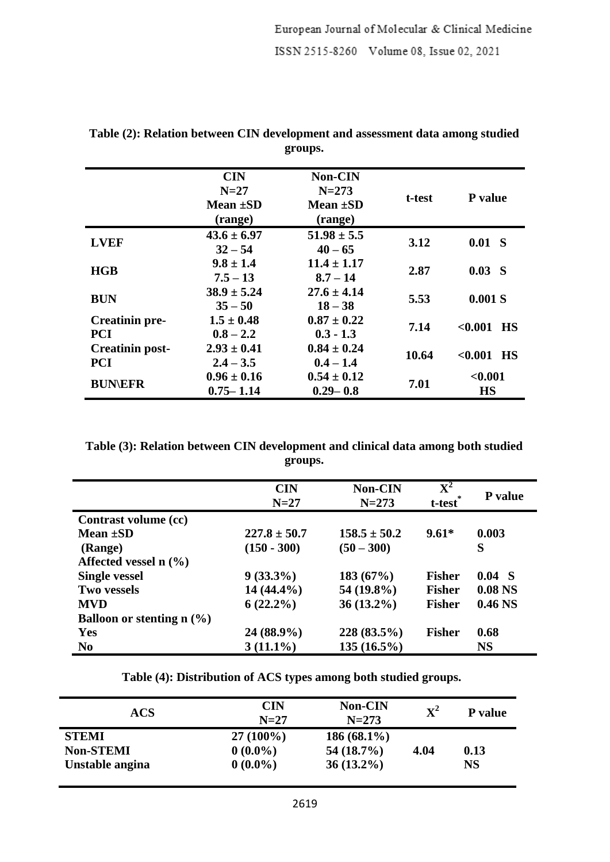|                        | <b>CIN</b>      | <b>Non-CIN</b>  |        |                    |  |
|------------------------|-----------------|-----------------|--------|--------------------|--|
|                        | $N=27$          | $N = 273$       | t-test | P value            |  |
|                        | <b>Mean ±SD</b> | Mean $\pm SD$   |        |                    |  |
|                        | (range)         | (range)         |        |                    |  |
| <b>LVEF</b>            | $43.6 \pm 6.97$ | $51.98 \pm 5.5$ |        |                    |  |
|                        | $32 - 54$       | $40 - 65$       | 3.12   | $0.01$ S           |  |
|                        | $9.8 \pm 1.4$   | $11.4 \pm 1.17$ | 2.87   | 0.03 S             |  |
| HGB                    | $7.5 - 13$      | $8.7 - 14$      |        |                    |  |
|                        | $38.9 \pm 5.24$ | $27.6 \pm 4.14$ |        |                    |  |
| <b>BUN</b>             | $35 - 50$       | $18 - 38$       | 5.53   | 0.001 S            |  |
| <b>Creatinin pre-</b>  | $1.5 \pm 0.48$  | $0.87 \pm 0.22$ |        |                    |  |
| <b>PCI</b>             | $0.8 - 2.2$     | $0.3 - 1.3$     | 7.14   | $< 0.001$ HS       |  |
| <b>Creatinin post-</b> | $2.93 \pm 0.41$ | $0.84 \pm 0.24$ | 10.64  |                    |  |
| <b>PCI</b>             | $2.4 - 3.5$     | $0.4 - 1.4$     |        | $<\!\!0.001$<br>HS |  |
| <b>BUN\EFR</b>         | $0.96 \pm 0.16$ | $0.54 \pm 0.12$ |        | < 0.001            |  |
|                        | $0.75 - 1.14$   | $0.29 - 0.8$    | 7.01   | <b>HS</b>          |  |

**Table (2): Relation between CIN development and assessment data among studied groups.**

**Table (3): Relation between CIN development and clinical data among both studied groups.**

|                                     | <b>CIN</b><br>$N=27$ | <b>Non-CIN</b><br>$N = 273$ | $\overline{\textbf{X}^2}$<br>t-test <sup>*</sup> | <b>P</b> value     |
|-------------------------------------|----------------------|-----------------------------|--------------------------------------------------|--------------------|
| Contrast volume (cc)                |                      |                             |                                                  |                    |
| Mean $\pm SD$                       | $227.8 \pm 50.7$     | $158.5 \pm 50.2$            | $9.61*$                                          | 0.003              |
| (Range)                             | $(150 - 300)$        | $(50 - 300)$                |                                                  | S                  |
| Affected vessel $n$ (%)             |                      |                             |                                                  |                    |
| <b>Single vessel</b>                | $9(33.3\%)$          | 183(67%)                    | <b>Fisher</b>                                    | $0.04$ S           |
| <b>Two vessels</b>                  | $14(44.4\%)$         | 54 (19.8%)                  | <b>Fisher</b>                                    | 0.08 <sub>NS</sub> |
| <b>MVD</b>                          | $6(22.2\%)$          | $36(13.2\%)$                | <b>Fisher</b>                                    | 0.46 <sub>NS</sub> |
| <b>Balloon or stenting n</b> $(\%)$ |                      |                             |                                                  |                    |
| Yes                                 | 24 (88.9%)           | 228 (83.5%)                 | <b>Fisher</b>                                    | 0.68               |
| N <sub>0</sub>                      | $3(11.1\%)$          | $135(16.5\%)$               |                                                  | <b>NS</b>          |

**Table (4): Distribution of ACS types among both studied groups.**

| ACS                                                 | <b>CIN</b><br>$N=27$                    | <b>Non-CIN</b><br>$N=273$                     | $\mathbf{X}^2$ | P value    |
|-----------------------------------------------------|-----------------------------------------|-----------------------------------------------|----------------|------------|
| <b>STEMI</b><br><b>Non-STEMI</b><br>Unstable angina | $27(100\%)$<br>$0(0.0\%)$<br>$0(0.0\%)$ | $186(68.1\%)$<br>$54(18.7\%)$<br>$36(13.2\%)$ | 4.04           | 0.13<br>NS |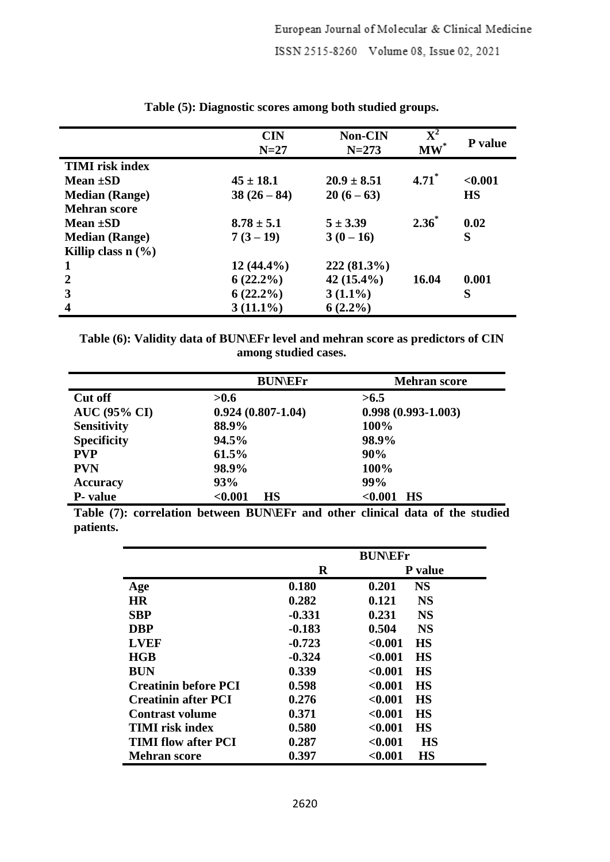|                        | <b>CIN</b><br>$N=27$ | <b>Non-CIN</b><br>$N = 273$ | $\mathbf{X}^2$<br>$\textbf{MW}^*$ | P value   |
|------------------------|----------------------|-----------------------------|-----------------------------------|-----------|
| <b>TIMI</b> risk index |                      |                             |                                   |           |
| Mean $\pm SD$          | $45 \pm 18.1$        | $20.9 \pm 8.51$             | $4.71$ <sup>*</sup>               | < 0.001   |
| <b>Median (Range)</b>  | $38(26-84)$          | $20(6-63)$                  |                                   | <b>HS</b> |
| <b>Mehran score</b>    |                      |                             |                                   |           |
| Mean $\pm SD$          | $8.78 \pm 5.1$       | $5 \pm 3.39$                | $2.36^*$                          | 0.02      |
| <b>Median (Range)</b>  | $7(3-19)$            | $3(0-16)$                   |                                   | S         |
| Killip class $n$ (%)   |                      |                             |                                   |           |
|                        | $12(44.4\%)$         | $222(81.3\%)$               |                                   |           |
| $\mathbf{2}$           | $6(22.2\%)$          | $42(15.4\%)$                | 16.04                             | 0.001     |
| 3                      | $6(22.2\%)$          | $3(1.1\%)$                  |                                   | S         |
| 4                      | $3(11.1\%)$          | $6(2.2\%)$                  |                                   |           |

**Table (5): Diagnostic scores among both studied groups.**

**Table (6): Validity data of BUN\EFr level and mehran score as predictors of CIN among studied cases.**

|                     | <b>BUN\EFr</b>        | <b>Mehran score</b>  |
|---------------------|-----------------------|----------------------|
| <b>Cut off</b>      | >0.6                  | >6.5                 |
| <b>AUC (95% CI)</b> | $0.924(0.807 - 1.04)$ | $0.998(0.993-1.003)$ |
| <b>Sensitivity</b>  | 88.9%                 | 100%                 |
| <b>Specificity</b>  | 94.5%                 | 98.9%                |
| <b>PVP</b>          | 61.5%                 | 90%                  |
| <b>PVN</b>          | 98.9%                 | 100%                 |
| <b>Accuracy</b>     | 93%                   | 99%                  |
| <b>P</b> - value    | < 0.001<br><b>HS</b>  | < 0.001<br><b>HS</b> |

**Table (7): correlation between BUN\EFr and other clinical data of the studied patients.**

|                             | <b>BUNEFr</b> |                      |  |
|-----------------------------|---------------|----------------------|--|
|                             | R             | P value              |  |
| Age                         | 0.180         | <b>NS</b><br>0.201   |  |
| <b>HR</b>                   | 0.282         | 0.121<br><b>NS</b>   |  |
| <b>SBP</b>                  | $-0.331$      | 0.231<br><b>NS</b>   |  |
| <b>DBP</b>                  | $-0.183$      | 0.504<br><b>NS</b>   |  |
| <b>LVEF</b>                 | $-0.723$      | <b>HS</b><br>< 0.001 |  |
| HGB                         | $-0.324$      | < 0.001<br><b>HS</b> |  |
| <b>BUN</b>                  | 0.339         | < 0.001<br><b>HS</b> |  |
| <b>Creatinin before PCI</b> | 0.598         | < 0.001<br><b>HS</b> |  |
| <b>Creatinin after PCI</b>  | 0.276         | <b>HS</b><br>< 0.001 |  |
| Contrast volume             | 0.371         | < 0.001<br><b>HS</b> |  |
| <b>TIMI</b> risk index      | 0.580         | < 0.001<br><b>HS</b> |  |
| <b>TIMI flow after PCI</b>  | 0.287         | < 0.001<br><b>HS</b> |  |
| <b>Mehran score</b>         | 0.397         | < 0.001<br>HS        |  |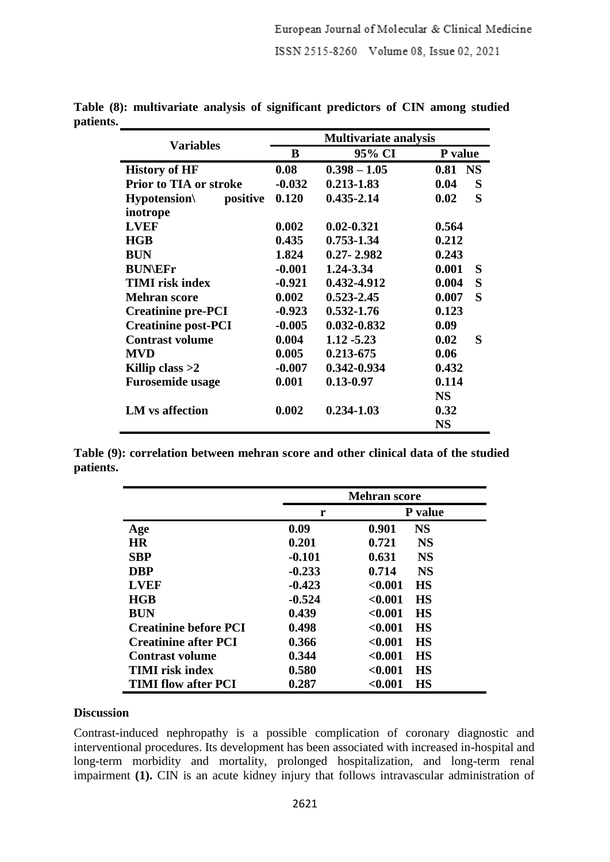|                               | <b>Multivariate analysis</b> |                 |            |  |  |
|-------------------------------|------------------------------|-----------------|------------|--|--|
| <b>Variables</b>              | B<br>95% CI                  |                 | P value    |  |  |
| <b>History of HF</b>          | 0.08                         | $0.398 - 1.05$  | 0.81 NS    |  |  |
| <b>Prior to TIA or stroke</b> | $-0.032$                     | $0.213 - 1.83$  | 0.04<br>S  |  |  |
| $Hypotension\$<br>positive    | 0.120                        | $0.435 - 2.14$  | S<br>0.02  |  |  |
| inotrope                      |                              |                 |            |  |  |
| <b>LVEF</b>                   | 0.002                        | $0.02 - 0.321$  | 0.564      |  |  |
| <b>HGB</b>                    | 0.435                        | 0.753-1.34      | 0.212      |  |  |
| <b>BUN</b>                    | 1.824                        | $0.27 - 2.982$  | 0.243      |  |  |
| <b>BUN\EFr</b>                | $-0.001$                     | 1.24-3.34       | 0.001<br>S |  |  |
| <b>TIMI</b> risk index        | $-0.921$                     | 0.432-4.912     | S<br>0.004 |  |  |
| <b>Mehran score</b>           | 0.002                        | $0.523 - 2.45$  | S<br>0.007 |  |  |
| <b>Creatinine pre-PCI</b>     | $-0.923$                     | $0.532 - 1.76$  | 0.123      |  |  |
| <b>Creatinine post-PCI</b>    | $-0.005$                     | $0.032 - 0.832$ | 0.09       |  |  |
| <b>Contrast volume</b>        | 0.004                        | $1.12 - 5.23$   | S<br>0.02  |  |  |
| <b>MVD</b>                    | 0.005                        | $0.213 - 675$   | 0.06       |  |  |
| Killip class $>2$             | $-0.007$                     | 0.342-0.934     | 0.432      |  |  |
| <b>Furosemide usage</b>       | 0.001                        | $0.13 - 0.97$   | 0.114      |  |  |
|                               |                              |                 | <b>NS</b>  |  |  |
| <b>LM</b> vs affection        | 0.002                        | $0.234 - 1.03$  | 0.32       |  |  |
|                               |                              |                 | <b>NS</b>  |  |  |

**Table (8): multivariate analysis of significant predictors of CIN among studied patients.**

**Table (9): correlation between mehran score and other clinical data of the studied patients.**

|                              |          | <b>Mehran score</b>  |  |  |
|------------------------------|----------|----------------------|--|--|
|                              | r        | P value              |  |  |
| Age                          | 0.09     | <b>NS</b><br>0.901   |  |  |
| <b>HR</b>                    | 0.201    | <b>NS</b><br>0.721   |  |  |
| <b>SBP</b>                   | $-0.101$ | <b>NS</b><br>0.631   |  |  |
| <b>DBP</b>                   | $-0.233$ | <b>NS</b><br>0.714   |  |  |
| <b>LVEF</b>                  | $-0.423$ | < 0.001<br><b>HS</b> |  |  |
| HGB                          | $-0.524$ | < 0.001<br><b>HS</b> |  |  |
| <b>BUN</b>                   | 0.439    | < 0.001<br><b>HS</b> |  |  |
| <b>Creatinine before PCI</b> | 0.498    | <b>HS</b><br>< 0.001 |  |  |
| <b>Creatinine after PCI</b>  | 0.366    | < 0.001<br><b>HS</b> |  |  |
| <b>Contrast volume</b>       | 0.344    | < 0.001<br><b>HS</b> |  |  |
| TIMI risk index              | 0.580    | < 0.001<br><b>HS</b> |  |  |
| <b>TIMI flow after PCI</b>   | 0.287    | < 0.001<br><b>HS</b> |  |  |

#### **Discussion**

Contrast-induced nephropathy is a possible complication of coronary diagnostic and interventional procedures. Its development has been associated with increased in-hospital and long-term morbidity and mortality, prolonged hospitalization, and long-term renal impairment **(1).** CIN is an acute kidney injury that follows intravascular administration of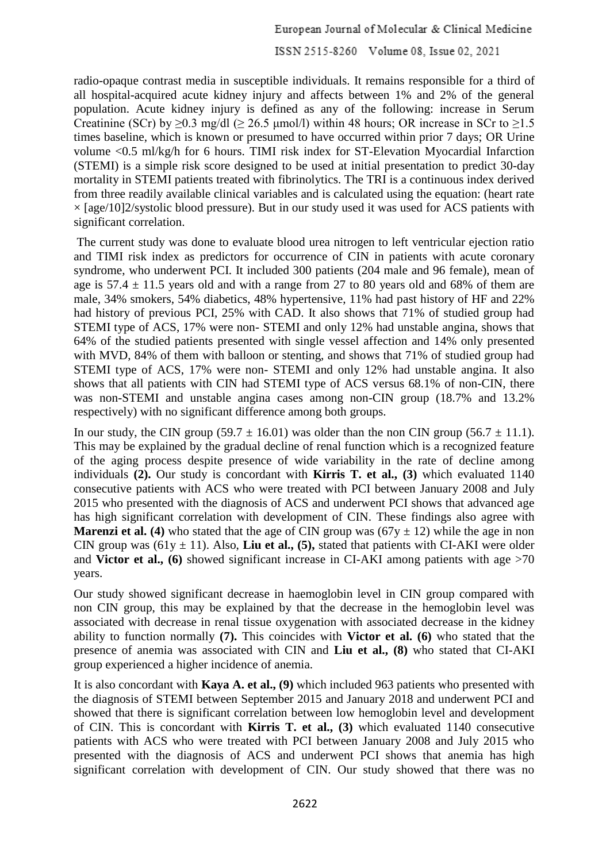radio-opaque contrast media in susceptible individuals. It remains responsible for a third of all hospital-acquired acute kidney injury and affects between 1% and 2% of the general population. Acute kidney injury is defined as any of the following: increase in Serum Creatinine (SCr) by  $\geq 0.3$  mg/dl ( $\geq 26.5$  µmol/l) within 48 hours; OR increase in SCr to  $\geq 1.5$ times baseline, which is known or presumed to have occurred within prior 7 days; OR Urine volume <0.5 ml/kg/h for 6 hours. TIMI risk index for ST-Elevation Myocardial Infarction (STEMI) is a simple risk score designed to be used at initial presentation to predict 30-day mortality in STEMI patients treated with fibrinolytics. The TRI is a continuous index derived from three readily available clinical variables and is calculated using the equation: (heart rate  $\times$  [age/10]2/systolic blood pressure). But in our study used it was used for ACS patients with significant correlation.

The current study was done to evaluate blood urea nitrogen to left ventricular ejection ratio and TIMI risk index as predictors for occurrence of CIN in patients with acute coronary syndrome, who underwent PCI. It included 300 patients (204 male and 96 female), mean of age is  $57.4 \pm 11.5$  years old and with a range from 27 to 80 years old and 68% of them are male, 34% smokers, 54% diabetics, 48% hypertensive, 11% had past history of HF and 22% had history of previous PCI, 25% with CAD. It also shows that 71% of studied group had STEMI type of ACS, 17% were non- STEMI and only 12% had unstable angina, shows that 64% of the studied patients presented with single vessel affection and 14% only presented with MVD, 84% of them with balloon or stenting, and shows that 71% of studied group had STEMI type of ACS, 17% were non- STEMI and only 12% had unstable angina. It also shows that all patients with CIN had STEMI type of ACS versus 68.1% of non-CIN, there was non-STEMI and unstable angina cases among non-CIN group (18.7% and 13.2% respectively) with no significant difference among both groups.

In our study, the CIN group (59.7  $\pm$  16.01) was older than the non CIN group (56.7  $\pm$  11.1). This may be explained by the gradual decline of renal function which is a recognized feature of the aging process despite presence of wide variability in the rate of decline among individuals **(2).** Our study is concordant with **Kirris T. et al., (3)** which evaluated 1140 consecutive patients with ACS who were treated with PCI between January 2008 and July 2015 who presented with the diagnosis of ACS and underwent PCI shows that advanced age has high significant correlation with development of CIN. These findings also agree with **Marenzi et al. (4)** who stated that the age of CIN group was  $(67y \pm 12)$  while the age in non CIN group was  $(61y \pm 11)$ . Also, **Liu et al., (5),** stated that patients with CI-AKI were older and **Victor et al., (6)** showed significant increase in CI-AKI among patients with age >70 years.

Our study showed significant decrease in haemoglobin level in CIN group compared with non CIN group, this may be explained by that the decrease in the hemoglobin level was associated with decrease in renal tissue oxygenation with associated decrease in the kidney ability to function normally **(7).** This coincides with **Victor et al. (6)** who stated that the presence of anemia was associated with CIN and **Liu et al., (8)** who stated that CI-AKI group experienced a higher incidence of anemia.

It is also concordant with **Kaya A. et al., (9)** which included 963 patients who presented with the diagnosis of STEMI between September 2015 and January 2018 and underwent PCI and showed that there is significant correlation between low hemoglobin level and development of CIN. This is concordant with **Kirris T. et al., (3)** which evaluated 1140 consecutive patients with ACS who were treated with PCI between January 2008 and July 2015 who presented with the diagnosis of ACS and underwent PCI shows that anemia has high significant correlation with development of CIN. Our study showed that there was no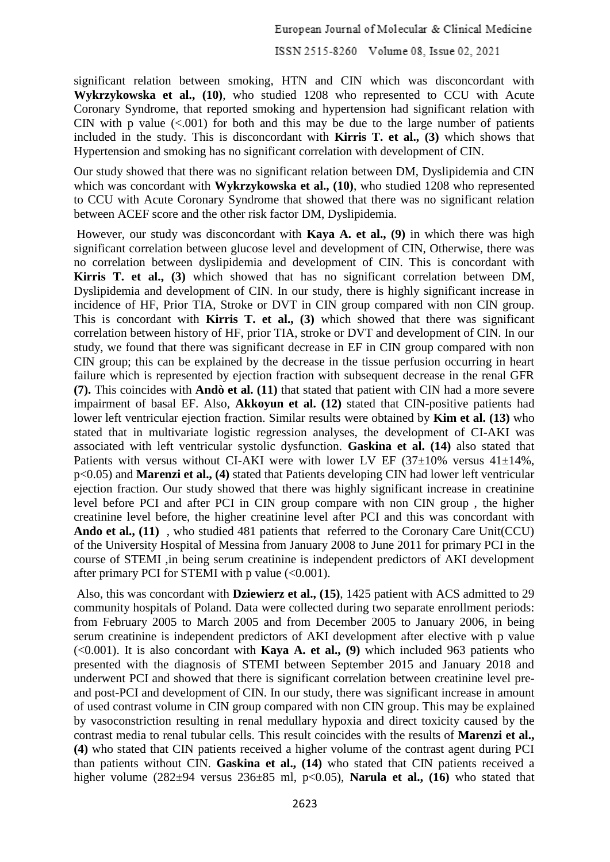significant relation between smoking, HTN and CIN which was disconcordant with **Wykrzykowska et al., (10)**, who studied 1208 who represented to CCU with Acute Coronary Syndrome, that reported smoking and hypertension had significant relation with CIN with p value  $(<.001$ ) for both and this may be due to the large number of patients included in the study. This is disconcordant with **Kirris T. et al., (3)** which shows that Hypertension and smoking has no significant correlation with development of CIN.

Our study showed that there was no significant relation between DM, Dyslipidemia and CIN which was concordant with **Wykrzykowska et al.**, (10), who studied 1208 who represented to CCU with Acute Coronary Syndrome that showed that there was no significant relation between ACEF score and the other risk factor DM, Dyslipidemia.

However, our study was disconcordant with **Kaya A. et al., (9)** in which there was high significant correlation between glucose level and development of CIN, Otherwise, there was no correlation between dyslipidemia and development of CIN. This is concordant with **Kirris T. et al., (3)** which showed that has no significant correlation between DM, Dyslipidemia and development of CIN. In our study, there is highly significant increase in incidence of HF, Prior TIA, Stroke or DVT in CIN group compared with non CIN group. This is concordant with **Kirris T. et al., (3)** which showed that there was significant correlation between history of HF, prior TIA, stroke or DVT and development of CIN. In our study, we found that there was significant decrease in EF in CIN group compared with non CIN group; this can be explained by the decrease in the tissue perfusion occurring in heart failure which is represented by ejection fraction with subsequent decrease in the renal GFR **(7).** This coincides with **Andò et al. (11)** that stated that patient with CIN had a more severe impairment of basal EF. Also, **Akkoyun et al. (12)** stated that CIN-positive patients had lower left ventricular ejection fraction. Similar results were obtained by **Kim et al. (13)** who stated that in multivariate logistic regression analyses, the development of CI-AKI was associated with left ventricular systolic dysfunction. **Gaskina et al. (14)** also stated that Patients with versus without CI-AKI were with lower LV EF  $(37\pm10\%$  versus  $41\pm14\%$ , p<0.05) and **Marenzi et al., (4)** stated that Patients developing CIN had lower left ventricular ejection fraction. Our study showed that there was highly significant increase in creatinine level before PCI and after PCI in CIN group compare with non CIN group , the higher creatinine level before, the higher creatinine level after PCI and this was concordant with Ando et al., (11), who studied 481 patients that referred to the Coronary Care Unit(CCU) of the University Hospital of Messina from January 2008 to June 2011 for primary PCI in the course of STEMI ,in being serum creatinine is independent predictors of AKI development after primary PCI for STEMI with p value  $(<0.001$ ).

Also, this was concordant with **Dziewierz et al., (15)**, 1425 patient with ACS admitted to 29 community hospitals of Poland. Data were collected during two separate enrollment periods: from February 2005 to March 2005 and from December 2005 to January 2006, in being serum creatinine is independent predictors of AKI development after elective with p value (<0.001). It is also concordant with **Kaya A. et al., (9)** which included 963 patients who presented with the diagnosis of STEMI between September 2015 and January 2018 and underwent PCI and showed that there is significant correlation between creatinine level preand post-PCI and development of CIN. In our study, there was significant increase in amount of used contrast volume in CIN group compared with non CIN group. This may be explained by vasoconstriction resulting in renal medullary hypoxia and direct toxicity caused by the contrast media to renal tubular cells. This result coincides with the results of **Marenzi et al., (4)** who stated that CIN patients received a higher volume of the contrast agent during PCI than patients without CIN. **Gaskina et al., (14)** who stated that CIN patients received a higher volume (282±94 versus 236±85 ml, p<0.05), **Narula et al., (16)** who stated that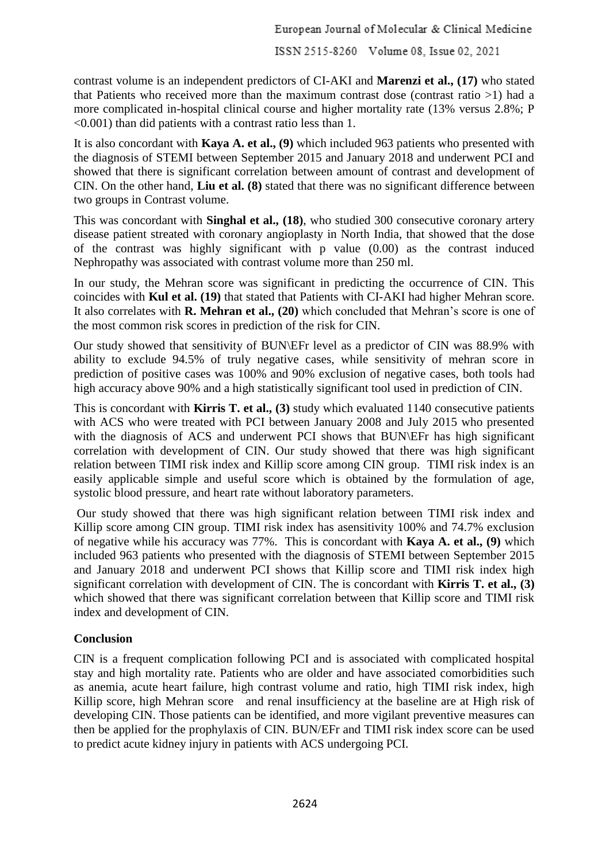contrast volume is an independent predictors of CI-AKI and **Marenzi et al., (17)** who stated that Patients who received more than the maximum contrast dose (contrast ratio >1) had a more complicated in-hospital clinical course and higher mortality rate (13% versus 2.8%; P <0.001) than did patients with a contrast ratio less than 1.

It is also concordant with **Kaya A. et al., (9)** which included 963 patients who presented with the diagnosis of STEMI between September 2015 and January 2018 and underwent PCI and showed that there is significant correlation between amount of contrast and development of CIN. On the other hand, **Liu et al. (8)** stated that there was no significant difference between two groups in Contrast volume.

This was concordant with **Singhal et al., (18)**, who studied 300 consecutive coronary artery disease patient streated with coronary angioplasty in North India, that showed that the dose of the contrast was highly significant with p value (0.00) as the contrast induced Nephropathy was associated with contrast volume more than 250 ml.

In our study, the Mehran score was significant in predicting the occurrence of CIN. This coincides with **Kul et al. (19)** that stated that Patients with CI-AKI had higher Mehran score. It also correlates with **R. Mehran et al., (20)** which concluded that Mehran's score is one of the most common risk scores in prediction of the risk for CIN.

Our study showed that sensitivity of BUN\EFr level as a predictor of CIN was 88.9% with ability to exclude 94.5% of truly negative cases, while sensitivity of mehran score in prediction of positive cases was 100% and 90% exclusion of negative cases, both tools had high accuracy above 90% and a high statistically significant tool used in prediction of CIN.

This is concordant with **Kirris T. et al., (3)** study which evaluated 1140 consecutive patients with ACS who were treated with PCI between January 2008 and July 2015 who presented with the diagnosis of ACS and underwent PCI shows that BUN\EFr has high significant correlation with development of CIN. Our study showed that there was high significant relation between TIMI risk index and Killip score among CIN group. TIMI risk index is an easily applicable simple and useful score which is obtained by the formulation of age, systolic blood pressure, and heart rate without laboratory parameters.

Our study showed that there was high significant relation between TIMI risk index and Killip score among CIN group. TIMI risk index has asensitivity 100% and 74.7% exclusion of negative while his accuracy was 77%. This is concordant with **Kaya A. et al., (9)** which included 963 patients who presented with the diagnosis of STEMI between September 2015 and January 2018 and underwent PCI shows that Killip score and TIMI risk index high significant correlation with development of CIN. The is concordant with **Kirris T. et al., (3)** which showed that there was significant correlation between that Killip score and TIMI risk index and development of CIN.

# **Conclusion**

CIN is a frequent complication following PCI and is associated with complicated hospital stay and high mortality rate. Patients who are older and have associated comorbidities such as anemia, acute heart failure, high contrast volume and ratio, high TIMI risk index, high Killip score, high Mehran score and renal insufficiency at the baseline are at High risk of developing CIN. Those patients can be identified, and more vigilant preventive measures can then be applied for the prophylaxis of CIN. BUN/EFr and TIMI risk index score can be used to predict acute kidney injury in patients with ACS undergoing PCI.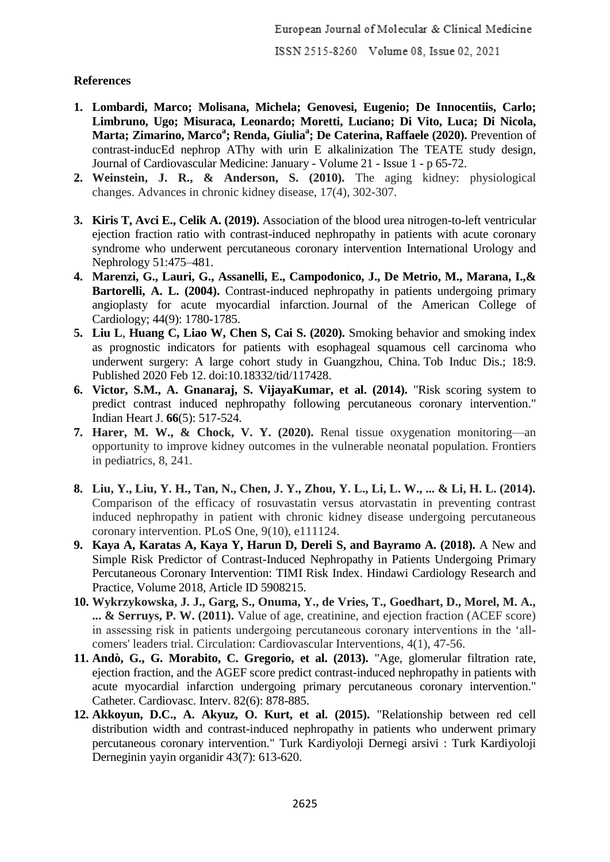# **References**

- **1. Lombardi, Marco; Molisana, Michela; Genovesi, Eugenio; De Innocentiis, Carlo; Limbruno, Ugo; Misuraca, Leonardo; Moretti, Luciano; Di Vito, Luca; Di Nicola, Marta; Zimarino, Marco<sup>a</sup> ; Renda, Giulia<sup>a</sup> ; De Caterina, Raffaele (2020).** Prevention of contrast-inducEd nephrop AThy with urin E alkalinization The TEATE study design, Journal of Cardiovascular Medicine: January - Volume 21 - Issue 1 - p 65-72.
- **2. Weinstein, J. R., & Anderson, S. (2010).** The aging kidney: physiological changes. Advances in chronic kidney disease, 17(4), 302-307.
- **3. Kiris T, Avci E., Celik A. (2019).** Association of the blood urea nitrogen-to-left ventricular ejection fraction ratio with contrast-induced nephropathy in patients with acute coronary syndrome who underwent percutaneous coronary intervention International Urology and Nephrology 51:475–481.
- **4. Marenzi, G., Lauri, G., Assanelli, E., Campodonico, J., De Metrio, M., Marana, I.,&**  Bartorelli, A. L. (2004). Contrast-induced nephropathy in patients undergoing primary angioplasty for acute myocardial infarction. Journal of the American College of Cardiology; 44(9): 1780-1785.
- **5. Liu L**, **Huang C, Liao W, Chen S, Cai S. (2020).** Smoking behavior and smoking index as prognostic indicators for patients with esophageal squamous cell carcinoma who underwent surgery: A large cohort study in Guangzhou, China. Tob Induc Dis.; 18:9. Published 2020 Feb 12. doi:10.18332/tid/117428.
- **6. Victor, S.M., A. Gnanaraj, S. VijayaKumar, et al. (2014).** "Risk scoring system to predict contrast induced nephropathy following percutaneous coronary intervention." Indian Heart J. **66**(5): 517-524.
- **7. Harer, M. W., & Chock, V. Y. (2020).** Renal tissue oxygenation monitoring—an opportunity to improve kidney outcomes in the vulnerable neonatal population. Frontiers in pediatrics, 8, 241.
- **8. Liu, Y., Liu, Y. H., Tan, N., Chen, J. Y., Zhou, Y. L., Li, L. W., ... & Li, H. L. (2014).** Comparison of the efficacy of rosuvastatin versus atorvastatin in preventing contrast induced nephropathy in patient with chronic kidney disease undergoing percutaneous coronary intervention. PLoS One, 9(10), e111124.
- **9. Kaya A, Karatas A, Kaya Y, Harun D, Dereli S, and Bayramo A. (2018).** A New and Simple Risk Predictor of Contrast-Induced Nephropathy in Patients Undergoing Primary Percutaneous Coronary Intervention: TIMI Risk Index. Hindawi Cardiology Research and Practice, Volume 2018, Article ID 5908215.
- **10. Wykrzykowska, J. J., Garg, S., Onuma, Y., de Vries, T., Goedhart, D., Morel, M. A., ... & Serruys, P. W. (2011).** Value of age, creatinine, and ejection fraction (ACEF score) in assessing risk in patients undergoing percutaneous coronary interventions in the 'allcomers' leaders trial. Circulation: Cardiovascular Interventions, 4(1), 47-56.
- **11. Andò, G., G. Morabito, C. Gregorio, et al. (2013).** "Age, glomerular filtration rate, ejection fraction, and the AGEF score predict contrast-induced nephropathy in patients with acute myocardial infarction undergoing primary percutaneous coronary intervention." Catheter. Cardiovasc. Interv. 82(6): 878-885.
- **12. Akkoyun, D.C., A. Akyuz, O. Kurt, et al. (2015).** "Relationship between red cell distribution width and contrast-induced nephropathy in patients who underwent primary percutaneous coronary intervention." Turk Kardiyoloji Dernegi arsivi : Turk Kardiyoloji Derneginin yayin organidir 43(7): 613-620.